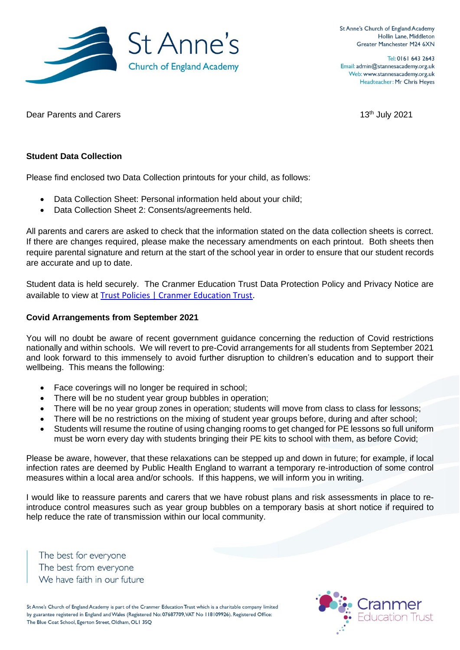

Tel: 0161 643 2643 Email: admin@stannesacademy.org.uk Web: www.stannesacademy.org.uk Headteacher: Mr Chris Heyes

Dear Parents and Carers 13<sup>th</sup> July 2021

### **Student Data Collection**

Please find enclosed two Data Collection printouts for your child, as follows:

- Data Collection Sheet: Personal information held about your child;
- Data Collection Sheet 2: Consents/agreements held.

All parents and carers are asked to check that the information stated on the data collection sheets is correct. If there are changes required, please make the necessary amendments on each printout. Both sheets then require parental signature and return at the start of the school year in order to ensure that our student records are accurate and up to date.

Student data is held securely. The Cranmer Education Trust Data Protection Policy and Privacy Notice are available to view at [Trust Policies | Cranmer Education Trust.](https://www.cranmereducationtrust.com/trust-policies/)

#### **Covid Arrangements from September 2021**

You will no doubt be aware of recent government guidance concerning the reduction of Covid restrictions nationally and within schools. We will revert to pre-Covid arrangements for all students from September 2021 and look forward to this immensely to avoid further disruption to children's education and to support their wellbeing. This means the following:

- Face coverings will no longer be required in school;
- There will be no student year group bubbles in operation;
- There will be no year group zones in operation; students will move from class to class for lessons;
- There will be no restrictions on the mixing of student year groups before, during and after school;
- Students will resume the routine of using changing rooms to get changed for PE lessons so full uniform must be worn every day with students bringing their PE kits to school with them, as before Covid;

Please be aware, however, that these relaxations can be stepped up and down in future; for example, if local infection rates are deemed by Public Health England to warrant a temporary re-introduction of some control measures within a local area and/or schools. If this happens, we will inform you in writing.

I would like to reassure parents and carers that we have robust plans and risk assessments in place to reintroduce control measures such as year group bubbles on a temporary basis at short notice if required to help reduce the rate of transmission within our local community.

The best for everyone The best from everyone We have faith in our future

St Anne's Church of England Academy is part of the Cranmer Education Trust which is a charitable company limited by guarantee registered in England and Wales (Registered No: 07687709, VAT No 118109926). Registered Office: The Blue Coat School, Egerton Street, Oldham, OLI 3SQ